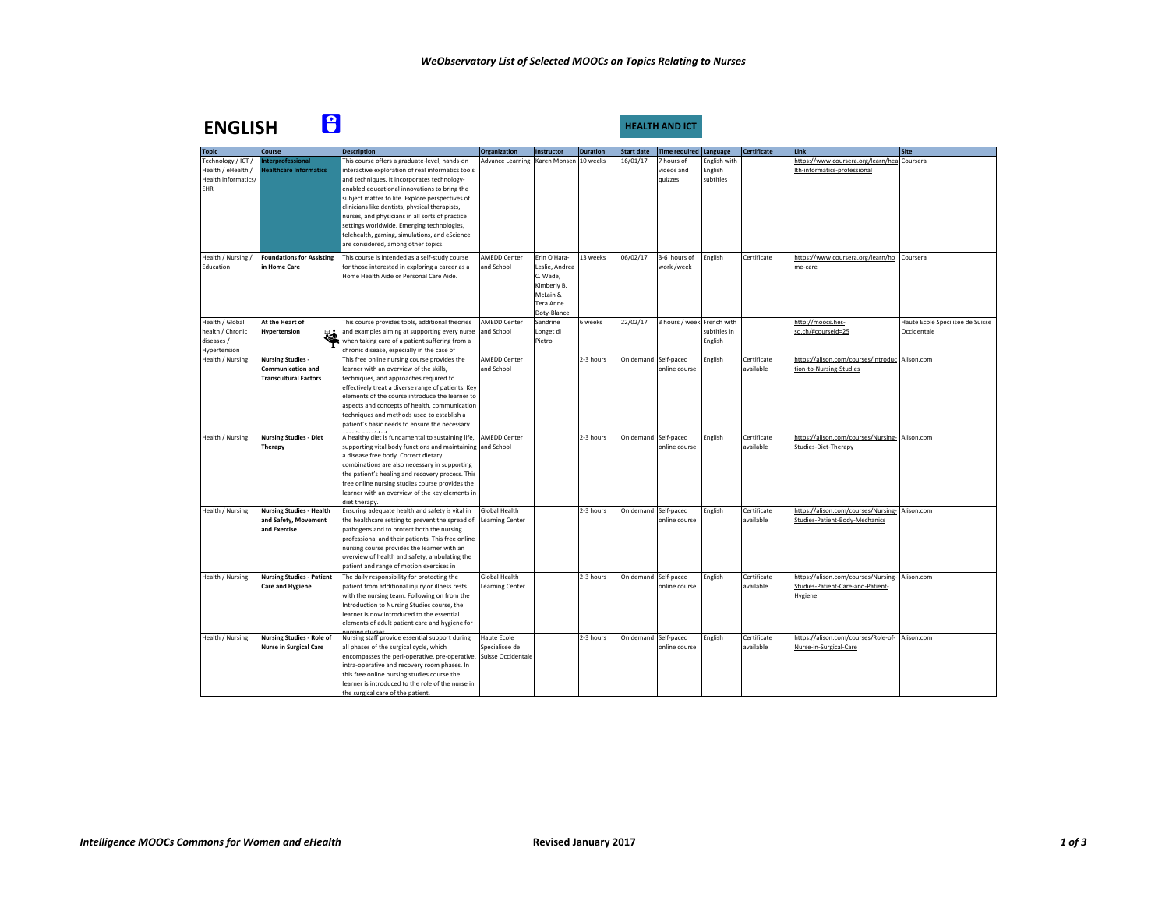| <b>ENGLISH</b>                                                                | 8                                                                                    |                                                                                                                                                                                                                                                                                                                                                                                                         |                                                     |                                                                                   |                 | HEALTH AND ICT       |                                     |                                      |                          |                                                                                     |                                                 |
|-------------------------------------------------------------------------------|--------------------------------------------------------------------------------------|---------------------------------------------------------------------------------------------------------------------------------------------------------------------------------------------------------------------------------------------------------------------------------------------------------------------------------------------------------------------------------------------------------|-----------------------------------------------------|-----------------------------------------------------------------------------------|-----------------|----------------------|-------------------------------------|--------------------------------------|--------------------------|-------------------------------------------------------------------------------------|-------------------------------------------------|
| <b>Topic</b>                                                                  | <b>Course</b>                                                                        | <b>Description</b>                                                                                                                                                                                                                                                                                                                                                                                      | <b>Organization</b>                                 | Instructor                                                                        | <b>Duration</b> | <b>Start date</b>    | <b>Time required Language</b>       |                                      | <b>Certificate</b>       | Link                                                                                | <b>Site</b>                                     |
| Technology / ICT /<br>Health / eHealth /<br>Health informatics/<br><b>EHR</b> | nterprofessional<br>lealthcare Informatics                                           | This course offers a graduate-level, hands-on<br>interactive exploration of real informatics tools<br>and techniques. It incorporates technology-<br>enabled educational innovations to bring the<br>subject matter to life. Explore perspectives of<br>clinicians like dentists, physical therapists,<br>nurses, and physicians in all sorts of practice<br>settings worldwide. Emerging technologies, | <b>Advance Learning</b>                             | Karen Monsen                                                                      | 10 weeks        | 16/01/17             | 7 hours of<br>videos and<br>quizzes | English with<br>English<br>subtitles |                          | https://www.coursera.org/learn/hea<br>th-informatics-professional                   | Coursera                                        |
| Health / Nursing /                                                            | <b>Foundations for Assisting</b>                                                     | telehealth, gaming, simulations, and eScience<br>are considered, among other topics.<br>This course is intended as a self-study course                                                                                                                                                                                                                                                                  | <b>AMEDD Center</b>                                 | Erin O'Hara-                                                                      | 13 weeks        | 06/02/17             | 3-6 hours of                        | English                              | Certificate              | https://www.coursera.org/learn/ho                                                   | Coursera                                        |
| Education                                                                     | in Home Care                                                                         | for those interested in exploring a career as a<br>Home Health Aide or Personal Care Aide.                                                                                                                                                                                                                                                                                                              | and School                                          | Leslie, Andrea<br>C. Wade,<br>Kimberly B.<br>McLain &<br>Tera Anne<br>Doty-Blance |                 |                      | work /week                          |                                      |                          | me-care                                                                             |                                                 |
| Health / Global<br>health / Chronic<br>diseases /<br>Hypertension             | At the Heart of<br><b>Hypertension</b><br>ä.                                         | This course provides tools, additional theories<br>and examples aiming at supporting every nurse<br>when taking care of a patient suffering from a<br>chronic disease, especially in the case of                                                                                                                                                                                                        | <b>AMEDD Center</b><br>and School                   | Sandrine<br>Longet di<br>Pietro                                                   | 6 weeks         | 22/02/17             | 3 hours / week French with          | subtitles in<br>English              |                          | http://moocs.hes-<br>so.ch/#courseid=25                                             | Haute Ecole Specilisee de Suisse<br>Occidentale |
| Health / Nursing                                                              | <b>Nursing Studies -</b><br><b>Communication and</b><br><b>Transcultural Factors</b> | This free online nursing course provides the<br>learner with an overview of the skills,<br>techniques, and approaches required to<br>effectively treat a diverse range of patients. Key<br>elements of the course introduce the learner to<br>aspects and concepts of health, communication<br>techniques and methods used to establish a<br>patient's basic needs to ensure the necessary              | <b>AMEDD Center</b><br>and School                   |                                                                                   | 2-3 hours       | On demand Self-paced | online course                       | English                              | Certificate<br>available | https://alison.com/courses/Introduc<br>tion-to-Nursing-Studies                      | Alison.com                                      |
| Health / Nursing                                                              | <b>Nursing Studies - Diet</b><br>Therapy                                             | A healthy diet is fundamental to sustaining life,<br>supporting vital body functions and maintaining and School<br>a disease free body. Correct dietary<br>combinations are also necessary in supporting<br>the patient's healing and recovery process. This<br>free online nursing studies course provides the<br>learner with an overview of the key elements in<br>diet therapy.                     | <b>AMEDD Center</b>                                 |                                                                                   | 2-3 hours       | On demand Self-paced | online course                       | English                              | Certificate<br>available | https://alison.com/courses/Nursing-<br>Studies-Diet-Therapy                         | Alison.com                                      |
| Health / Nursing                                                              | <b>Nursing Studies - Health</b><br>and Safety, Movement<br>and Exercise              | Ensuring adequate health and safety is vital in<br>the healthcare setting to prevent the spread of<br>pathogens and to protect both the nursing<br>professional and their patients. This free online<br>nursing course provides the learner with an<br>overview of health and safety, ambulating the<br>patient and range of motion exercises in                                                        | Global Health<br><b>Learning Center</b>             |                                                                                   | 2-3 hours       | On demand Self-paced | online course                       | English                              | Certificate<br>available | https://alison.com/courses/Nursing-<br>Studies-Patient-Body-Mechanics               | Alison.com                                      |
| Health / Nursing                                                              | <b>Nursing Studies - Patient</b><br><b>Care and Hygiene</b>                          | The daily responsibility for protecting the<br>patient from additional injury or illness rests<br>with the nursing team. Following on from the<br>Introduction to Nursing Studies course, the<br>learner is now introduced to the essential<br>elements of adult patient care and hygiene for                                                                                                           | <b>Global Health</b><br>Learning Center             |                                                                                   | 2-3 hours       | On demand Self-paced | online course                       | English                              | Certificate<br>available | https://alison.com/courses/Nursing-<br>Studies-Patient-Care-and-Patient-<br>Hygiene | Alison.com                                      |
| Health / Nursing                                                              | <b>Nursing Studies - Role of</b><br><b>Nurse in Surgical Care</b>                    | Nursing staff provide essential support during<br>all phases of the surgical cycle, which<br>encompasses the peri-operative, pre-operative,<br>intra-operative and recovery room phases. In<br>this free online nursing studies course the<br>learner is introduced to the role of the nurse in<br>the surgical care of the patient.                                                                    | Haute Ecole<br>Specialisee de<br>Suisse Occidentale |                                                                                   | 2-3 hours       | On demand Self-paced | online course                       | English                              | Certificate<br>available | https://alison.com/courses/Role-of-<br>Nurse-in-Surgical-Care                       | Alison.com                                      |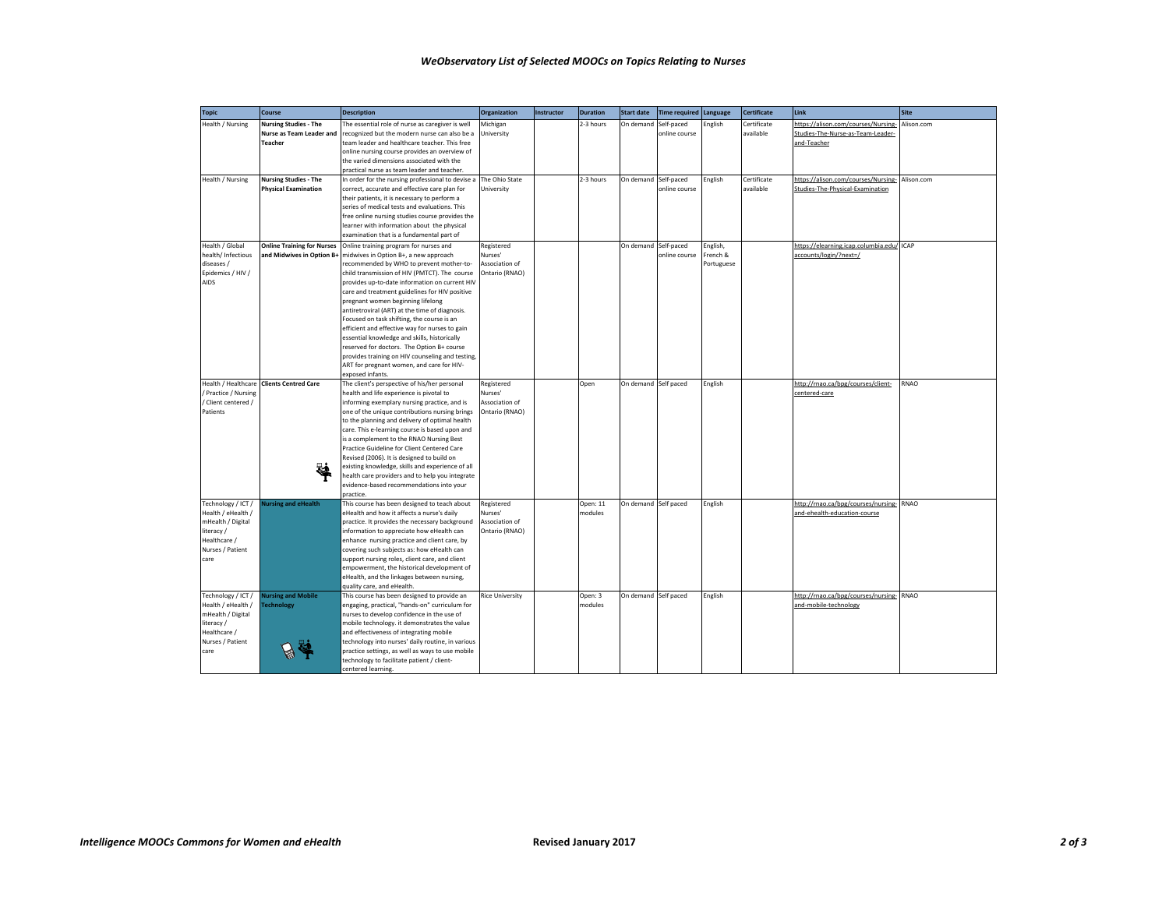| <b>Topic</b>         | Course                            | <b>Description</b>                                                                            | <b>Organization</b>    | Instructor | <b>Duration</b> | <b>Start date</b>    | <b>Time required Language</b> |            | <b>Certificate</b> | Link                                      | <b>Site</b> |
|----------------------|-----------------------------------|-----------------------------------------------------------------------------------------------|------------------------|------------|-----------------|----------------------|-------------------------------|------------|--------------------|-------------------------------------------|-------------|
| Health / Nursing     | <b>Nursing Studies - The</b>      | The essential role of nurse as caregiver is well                                              | Michigan               |            | 2-3 hours       | On demand            | Self-paced                    | English    | Certificate        | https://alison.com/courses/Nursing-       | Alison.com  |
|                      | Nurse as Team Leader and          | recognized but the modern nurse can also be a                                                 | University             |            |                 |                      | online course                 |            | available          | Studies-The-Nurse-as-Team-Leader-         |             |
|                      | <b>Teacher</b>                    | team leader and healthcare teacher. This free                                                 |                        |            |                 |                      |                               |            |                    | and-Teacher                               |             |
|                      |                                   | online nursing course provides an overview of                                                 |                        |            |                 |                      |                               |            |                    |                                           |             |
|                      |                                   | the varied dimensions associated with the                                                     |                        |            |                 |                      |                               |            |                    |                                           |             |
|                      |                                   | practical nurse as team leader and teacher.                                                   |                        |            |                 |                      |                               |            |                    |                                           |             |
| Health / Nursing     | <b>Nursing Studies - The</b>      | In order for the nursing professional to devise a                                             | The Ohio State         |            | 2-3 hours       | On demand            | Self-paced                    | English    | Certificate        | https://alison.com/courses/Nursing-       | Alison.com  |
|                      | <b>Physical Examination</b>       | correct, accurate and effective care plan for                                                 | University             |            |                 |                      | online course                 |            | available          | Studies-The-Physical-Examination          |             |
|                      |                                   | their patients, it is necessary to perform a<br>series of medical tests and evaluations. This |                        |            |                 |                      |                               |            |                    |                                           |             |
|                      |                                   | free online nursing studies course provides the                                               |                        |            |                 |                      |                               |            |                    |                                           |             |
|                      |                                   | learner with information about the physical                                                   |                        |            |                 |                      |                               |            |                    |                                           |             |
|                      |                                   | examination that is a fundamental part of                                                     |                        |            |                 |                      |                               |            |                    |                                           |             |
| Health / Global      | <b>Online Training for Nurses</b> | Online training program for nurses and                                                        | Registered             |            |                 | On demand Self-paced |                               | English,   |                    | https://elearning.icap.columbia.edu/ ICAP |             |
| health/ Infectious   | and Midwives in Option B-         | midwives in Option B+, a new approach                                                         | Nurses'                |            |                 |                      | online course                 | French &   |                    | accounts/login/?next=/                    |             |
| diseases /           |                                   | recommended by WHO to prevent mother-to-                                                      | Association of         |            |                 |                      |                               | Portuguese |                    |                                           |             |
| Epidemics / HIV /    |                                   | child transmission of HIV (PMTCT). The course                                                 | Ontario (RNAO)         |            |                 |                      |                               |            |                    |                                           |             |
| AIDS                 |                                   | provides up-to-date information on current HIV                                                |                        |            |                 |                      |                               |            |                    |                                           |             |
|                      |                                   | care and treatment guidelines for HIV positive                                                |                        |            |                 |                      |                               |            |                    |                                           |             |
|                      |                                   | pregnant women beginning lifelong                                                             |                        |            |                 |                      |                               |            |                    |                                           |             |
|                      |                                   | antiretroviral (ART) at the time of diagnosis.                                                |                        |            |                 |                      |                               |            |                    |                                           |             |
|                      |                                   | Focused on task shifting, the course is an                                                    |                        |            |                 |                      |                               |            |                    |                                           |             |
|                      |                                   | efficient and effective way for nurses to gain                                                |                        |            |                 |                      |                               |            |                    |                                           |             |
|                      |                                   | essential knowledge and skills, historically                                                  |                        |            |                 |                      |                               |            |                    |                                           |             |
|                      |                                   | reserved for doctors. The Option B+ course                                                    |                        |            |                 |                      |                               |            |                    |                                           |             |
|                      |                                   | provides training on HIV counseling and testing,<br>ART for pregnant women, and care for HIV- |                        |            |                 |                      |                               |            |                    |                                           |             |
|                      |                                   | exposed infants.                                                                              |                        |            |                 |                      |                               |            |                    |                                           |             |
| Health / Healthcare  | <b>Clients Centred Care</b>       | The client's perspective of his/her personal                                                  | Registered             |            | Open            | On demand Self paced |                               | English    |                    | http://rnao.ca/bog/courses/client-        | RNAO        |
| / Practice / Nursing |                                   | health and life experience is pivotal to                                                      | Nurses'                |            |                 |                      |                               |            |                    | centered-care                             |             |
| / Client centered /  |                                   | informing exemplary nursing practice, and is                                                  | Association of         |            |                 |                      |                               |            |                    |                                           |             |
| Patients             |                                   | one of the unique contributions nursing brings                                                | Ontario (RNAO)         |            |                 |                      |                               |            |                    |                                           |             |
|                      |                                   | to the planning and delivery of optimal health                                                |                        |            |                 |                      |                               |            |                    |                                           |             |
|                      |                                   | care. This e-learning course is based upon and                                                |                        |            |                 |                      |                               |            |                    |                                           |             |
|                      |                                   | is a complement to the RNAO Nursing Best                                                      |                        |            |                 |                      |                               |            |                    |                                           |             |
|                      |                                   | Practice Guideline for Client Centered Care                                                   |                        |            |                 |                      |                               |            |                    |                                           |             |
|                      |                                   | Revised (2006). It is designed to build on                                                    |                        |            |                 |                      |                               |            |                    |                                           |             |
|                      | હ                                 | existing knowledge, skills and experience of all                                              |                        |            |                 |                      |                               |            |                    |                                           |             |
|                      |                                   | health care providers and to help you integrate<br>evidence-based recommendations into your   |                        |            |                 |                      |                               |            |                    |                                           |             |
|                      |                                   | practice.                                                                                     |                        |            |                 |                      |                               |            |                    |                                           |             |
| Technology / ICT /   | lursing and eHealth               | This course has been designed to teach about                                                  | Registered             |            | Open: 11        | On demand Self paced |                               | English    |                    | http://rnao.ca/bpg/courses/nursing-       | RNAO        |
| Health / eHealth /   |                                   | eHealth and how it affects a nurse's daily                                                    | Nurses'                |            | modules         |                      |                               |            |                    | and-ehealth-education-course              |             |
| mHealth / Digital    |                                   | practice. It provides the necessary background                                                | Association of         |            |                 |                      |                               |            |                    |                                           |             |
| literacy /           |                                   | information to appreciate how eHealth can                                                     | Ontario (RNAO)         |            |                 |                      |                               |            |                    |                                           |             |
| Healthcare /         |                                   | enhance nursing practice and client care, by                                                  |                        |            |                 |                      |                               |            |                    |                                           |             |
| Nurses / Patient     |                                   | covering such subjects as: how eHealth can                                                    |                        |            |                 |                      |                               |            |                    |                                           |             |
| care                 |                                   | support nursing roles, client care, and client                                                |                        |            |                 |                      |                               |            |                    |                                           |             |
|                      |                                   | empowerment, the historical development of                                                    |                        |            |                 |                      |                               |            |                    |                                           |             |
|                      |                                   | eHealth, and the linkages between nursing,                                                    |                        |            |                 |                      |                               |            |                    |                                           |             |
| Technology / ICT /   | <b>lursing and Mobile</b>         | quality care, and eHealth.<br>This course has been designed to provide an                     | <b>Rice University</b> |            | Open: 3         | On demand Self paced |                               | English    |                    | http://rnao.ca/bog/courses/nursing-       | <b>RNAO</b> |
| Health / eHealth /   | echnology                         | engaging, practical, "hands-on" curriculum for                                                |                        |            | modules         |                      |                               |            |                    | and-mobile-technology                     |             |
| mHealth / Digital    |                                   | nurses to develop confidence in the use of                                                    |                        |            |                 |                      |                               |            |                    |                                           |             |
| literacy /           |                                   | mobile technology, it demonstrates the value                                                  |                        |            |                 |                      |                               |            |                    |                                           |             |
| Healthcare /         |                                   | and effectiveness of integrating mobile                                                       |                        |            |                 |                      |                               |            |                    |                                           |             |
| Nurses / Patient     |                                   | technology into nurses' daily routine, in various                                             |                        |            |                 |                      |                               |            |                    |                                           |             |
| care                 |                                   | practice settings, as well as ways to use mobile                                              |                        |            |                 |                      |                               |            |                    |                                           |             |
|                      |                                   | technology to facilitate patient / client-                                                    |                        |            |                 |                      |                               |            |                    |                                           |             |
|                      |                                   | centered learning.                                                                            |                        |            |                 |                      |                               |            |                    |                                           |             |